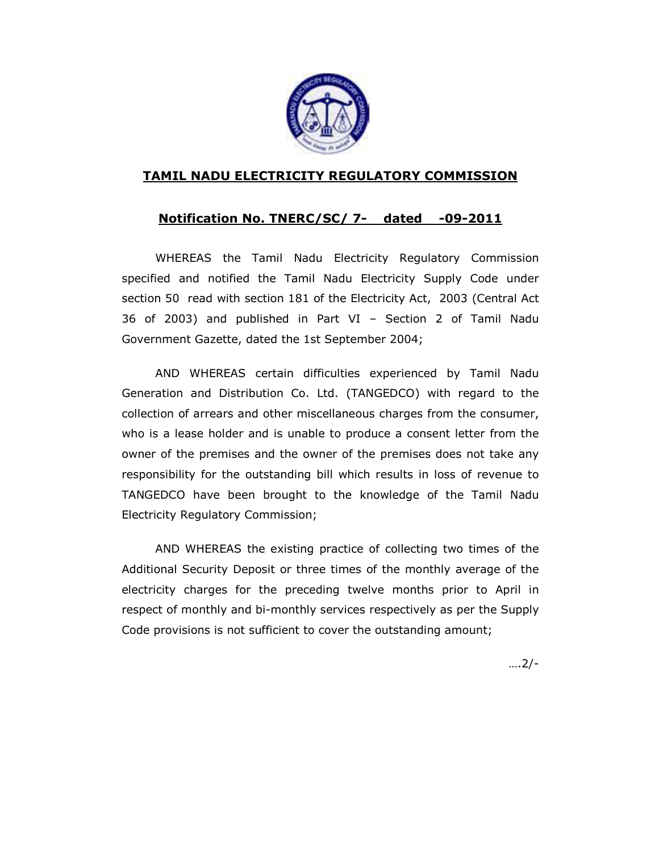

## TAMIL NADU ELECTRICITY REGULATORY COMMISSION

## Notification No. TNERC/SC/ 7- dated -09-2011

WHEREAS the Tamil Nadu Electricity Regulatory Commission specified and notified the Tamil Nadu Electricity Supply Code under section 50 read with section 181 of the Electricity Act, 2003 (Central Act 36 of 2003) and published in Part VI – Section 2 of Tamil Nadu Government Gazette, dated the 1st September 2004;

 AND WHEREAS certain difficulties experienced by Tamil Nadu Generation and Distribution Co. Ltd. (TANGEDCO) with regard to the collection of arrears and other miscellaneous charges from the consumer, who is a lease holder and is unable to produce a consent letter from the owner of the premises and the owner of the premises does not take any responsibility for the outstanding bill which results in loss of revenue to TANGEDCO have been brought to the knowledge of the Tamil Nadu Electricity Regulatory Commission;

AND WHEREAS the existing practice of collecting two times of the Additional Security Deposit or three times of the monthly average of the electricity charges for the preceding twelve months prior to April in respect of monthly and bi-monthly services respectively as per the Supply Code provisions is not sufficient to cover the outstanding amount;

….2/-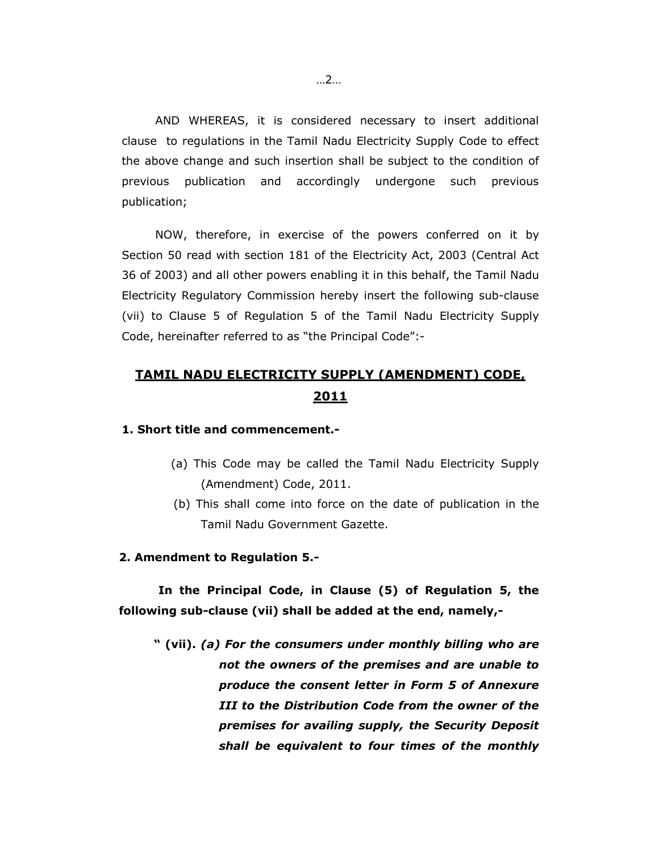AND WHEREAS, it is considered necessary to insert additional clause to regulations in the Tamil Nadu Electricity Supply Code to effect the above change and such insertion shall be subject to the condition of previous publication and accordingly undergone such previous publication;

NOW, therefore, in exercise of the powers conferred on it by Section 50 read with section 181 of the Electricity Act, 2003 (Central Act 36 of 2003) and all other powers enabling it in this behalf, the Tamil Nadu Electricity Regulatory Commission hereby insert the following sub-clause (vii) to Clause 5 of Regulation 5 of the Tamil Nadu Electricity Supply Code, hereinafter referred to as "the Principal Code":-

# TAMIL NADU ELECTRICITY SUPPLY (AMENDMENT) CODE, 2011

#### 1. Short title and commencement.-

- (a) This Code may be called the Tamil Nadu Electricity Supply (Amendment) Code, 2011.
- (b) This shall come into force on the date of publication in the Tamil Nadu Government Gazette.

#### 2. Amendment to Regulation 5.-

 In the Principal Code, in Clause (5) of Regulation 5, the following sub-clause (vii) shall be added at the end, namely,-

 " (vii). (a) For the consumers under monthly billing who are not the owners of the premises and are unable to produce the consent letter in Form 5 of Annexure III to the Distribution Code from the owner of the premises for availing supply, the Security Deposit shall be equivalent to four times of the monthly